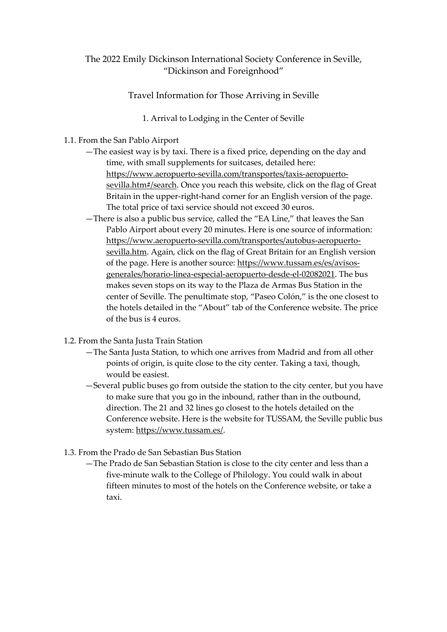## The 2022 Emily Dickinson International Society Conference in Seville, "Dickinson and Foreignhood"

Travel Information for Those Arriving in Seville

1. Arrival to Lodging in the Center of Seville

## 1.1. From the San Pablo Airport

- —The easiest way is by taxi. There is a fixed price, depending on the day and time, with small supplements for suitcases, detailed here: https:/[/www.aeropuerto-sevilla.com/transportes/taxis-aeropuerto](http://www.aeropuerto-sevilla.com/transportes/taxis-aeropuerto-)sevilla.htm#/search. Once you reach this website, click on the flag of Great Britain in the upper-right-hand corner for an English version of the page. The total price of taxi service should not exceed 30 euros.
- —There is also a public bus service, called the "EA Line," that leaves the San Pablo Airport about every 20 minutes. Here is one source of information: [https://www.aeropuerto-sevilla.com/transportes/autobus-aeropuerto](https://www.aeropuerto-sevilla.com/transportes/autobus-aeropuerto-sevilla.htm)[sevilla.htm. A](https://www.aeropuerto-sevilla.com/transportes/autobus-aeropuerto-sevilla.htm)gain, click on the flag of Great Britain for an English version of the page. Here is another source: [https://www.tussam.es/es/avisos](https://www.tussam.es/es/avisos-generales/horario-linea-especial-aeropuerto-desde-el-02082021)[generales/horario-linea-especial-aeropuerto-desde-el-02082021.](https://www.tussam.es/es/avisos-generales/horario-linea-especial-aeropuerto-desde-el-02082021) The bus makes seven stops on its way to the Plaza de Armas Bus Station in the center of Seville. The penultimate stop, "Paseo Colón," is the one closest to the hotels detailed in the "About" tab of the Conference website. The price of the bus is 4 euros.
- 1.2. From the Santa Justa Train Station
	- —The Santa Justa Station, to which one arrives from Madrid and from all other points of origin, is quite close to the city center. Taking a taxi, though, would be easiest.
	- —Several public buses go from outside the station to the city center, but you have to make sure that you go in the inbound, rather than in the outbound, direction. The 21 and 32 lines go closest to the hotels detailed on the Conference website. Here is the website for TUSSAM, the Seville public bus system: https:/[/www.tussam.es/.](http://www.tussam.es/)
- 1.3. From the Prado de San Sebastian Bus Station
	- —The Prado de San Sebastian Station is close to the city center and less than a five-minute walk to the College of Philology. You could walk in about fifteen minutes to most of the hotels on the Conference website, or take a taxi.